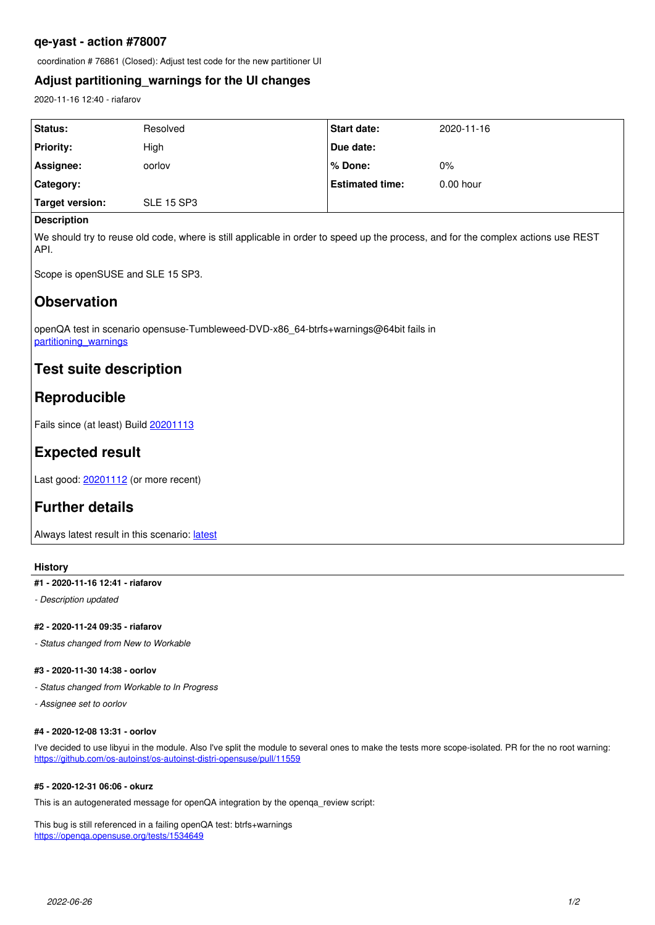### **qe-yast - action #78007**

coordination # 76861 (Closed): Adjust test code for the new partitioner UI

### **Adjust partitioning\_warnings for the UI changes**

2020-11-16 12:40 - riafarov

| Status:          | Resolved          | <b>Start date:</b>     | 2020-11-16  |
|------------------|-------------------|------------------------|-------------|
| <b>Priority:</b> | High              | Due date:              |             |
| Assignee:        | oorlov            | l % Done:              | $0\%$       |
| ∣ Category:      |                   | <b>Estimated time:</b> | $0.00$ hour |
| Target version:  | <b>SLE 15 SP3</b> |                        |             |
|                  |                   |                        |             |

#### **Description**

We should try to reuse old code, where is still applicable in order to speed up the process, and for the complex actions use REST API.

Scope is openSUSE and SLE 15 SP3.

# **Observation**

openQA test in scenario opensuse-Tumbleweed-DVD-x86\_64-btrfs+warnings@64bit fails in [partitioning\\_warnings](https://openqa.opensuse.org/tests/1474400/modules/partitioning_warnings/steps/46)

## **Test suite description**

# **Reproducible**

Fails since (at least) Build [20201113](https://openqa.opensuse.org/tests/1470841)

# **Expected result**

Last good: [20201112](https://openqa.opensuse.org/tests/1469813) (or more recent)

# **Further details**

Always [latest](https://openqa.opensuse.org/tests/latest?arch=x86_64&distri=opensuse&flavor=DVD&machine=64bit&test=btrfs%2Bwarnings&version=Tumbleweed) result in this scenario: latest

#### **History**

#### **#1 - 2020-11-16 12:41 - riafarov**

*- Description updated*

#### **#2 - 2020-11-24 09:35 - riafarov**

*- Status changed from New to Workable*

#### **#3 - 2020-11-30 14:38 - oorlov**

- *Status changed from Workable to In Progress*
- *Assignee set to oorlov*

#### **#4 - 2020-12-08 13:31 - oorlov**

I've decided to use libyui in the module. Also I've split the module to several ones to make the tests more scope-isolated. PR for the no root warning: <https://github.com/os-autoinst/os-autoinst-distri-opensuse/pull/11559>

#### **#5 - 2020-12-31 06:06 - okurz**

This is an autogenerated message for openQA integration by the openga\_review script:

This bug is still referenced in a failing openQA test: btrfs+warnings <https://openqa.opensuse.org/tests/1534649>